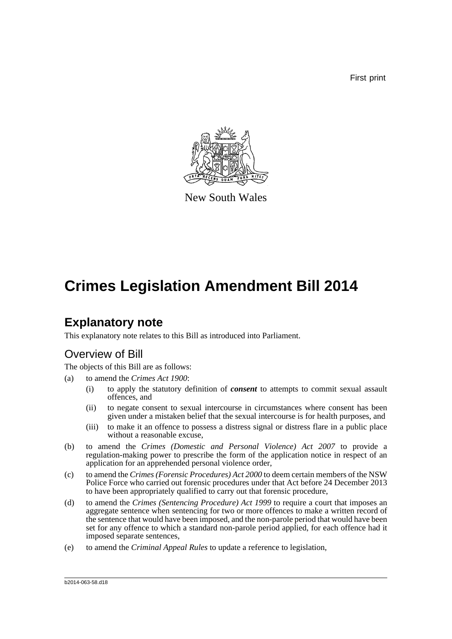First print



New South Wales

## **Crimes Legislation Amendment Bill 2014**

## **Explanatory note**

This explanatory note relates to this Bill as introduced into Parliament.

### Overview of Bill

The objects of this Bill are as follows:

- (a) to amend the *Crimes Act 1900*:
	- (i) to apply the statutory definition of *consent* to attempts to commit sexual assault offences, and
	- (ii) to negate consent to sexual intercourse in circumstances where consent has been given under a mistaken belief that the sexual intercourse is for health purposes, and
	- (iii) to make it an offence to possess a distress signal or distress flare in a public place without a reasonable excuse.
- (b) to amend the *Crimes (Domestic and Personal Violence) Act 2007* to provide a regulation-making power to prescribe the form of the application notice in respect of an application for an apprehended personal violence order,
- (c) to amend the *Crimes (Forensic Procedures) Act 2000* to deem certain members of the NSW Police Force who carried out forensic procedures under that Act before 24 December 2013 to have been appropriately qualified to carry out that forensic procedure,
- (d) to amend the *Crimes (Sentencing Procedure) Act 1999* to require a court that imposes an aggregate sentence when sentencing for two or more offences to make a written record of the sentence that would have been imposed, and the non-parole period that would have been set for any offence to which a standard non-parole period applied, for each offence had it imposed separate sentences,
- (e) to amend the *Criminal Appeal Rules* to update a reference to legislation,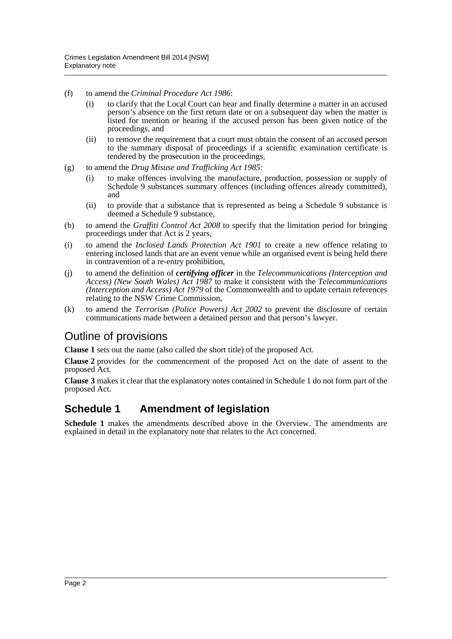- (f) to amend the *Criminal Procedure Act 1986*:
	- (i) to clarify that the Local Court can hear and finally determine a matter in an accused person's absence on the first return date or on a subsequent day when the matter is listed for mention or hearing if the accused person has been given notice of the proceedings, and
	- (ii) to remove the requirement that a court must obtain the consent of an accused person to the summary disposal of proceedings if a scientific examination certificate is tendered by the prosecution in the proceedings,
- (g) to amend the *Drug Misuse and Trafficking Act 1985*:
	- (i) to make offences involving the manufacture, production, possession or supply of Schedule 9 substances summary offences (including offences already committed), and
	- (ii) to provide that a substance that is represented as being a Schedule 9 substance is deemed a Schedule 9 substance,
- (h) to amend the *Graffiti Control Act 2008* to specify that the limitation period for bringing proceedings under that Act is 2 years,
- (i) to amend the *Inclosed Lands Protection Act 1901* to create a new offence relating to entering inclosed lands that are an event venue while an organised event is being held there in contravention of a re-entry prohibition,
- (j) to amend the definition of *certifying officer* in the *Telecommunications (Interception and Access) (New South Wales) Act 1987* to make it consistent with the *Telecommunications (Interception and Access) Act 1979* of the Commonwealth and to update certain references relating to the NSW Crime Commission,
- (k) to amend the *Terrorism (Police Powers) Act 2002* to prevent the disclosure of certain communications made between a detained person and that person's lawyer.

## Outline of provisions

**Clause 1** sets out the name (also called the short title) of the proposed Act.

**Clause 2** provides for the commencement of the proposed Act on the date of assent to the proposed Act.

**Clause 3** makes it clear that the explanatory notes contained in Schedule 1 do not form part of the proposed Act.

### **Schedule 1 Amendment of legislation**

**Schedule 1** makes the amendments described above in the Overview. The amendments are explained in detail in the explanatory note that relates to the Act concerned.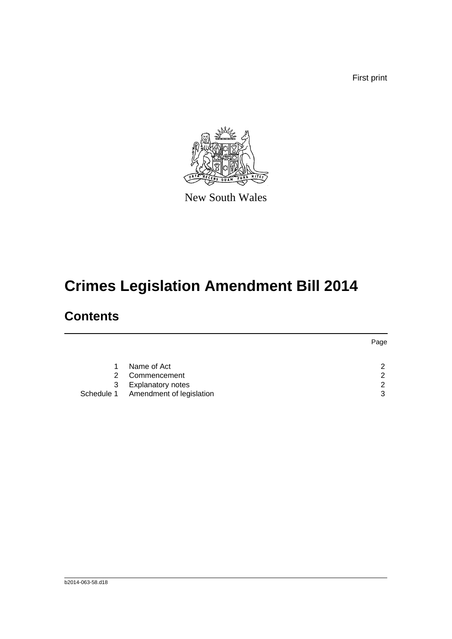First print



New South Wales

# **Crimes Legislation Amendment Bill 2014**

## **Contents**

|    |                                     | Page          |
|----|-------------------------------------|---------------|
|    |                                     |               |
| 1. | Name of Act                         | っ             |
| 2. | Commencement                        | հ             |
| 3  | <b>Explanatory notes</b>            | $\mathcal{P}$ |
|    | Schedule 1 Amendment of legislation | 3             |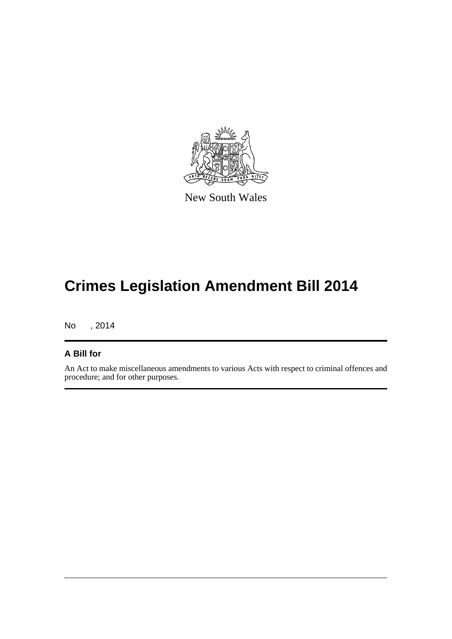

New South Wales

# **Crimes Legislation Amendment Bill 2014**

No , 2014

#### **A Bill for**

An Act to make miscellaneous amendments to various Acts with respect to criminal offences and procedure; and for other purposes.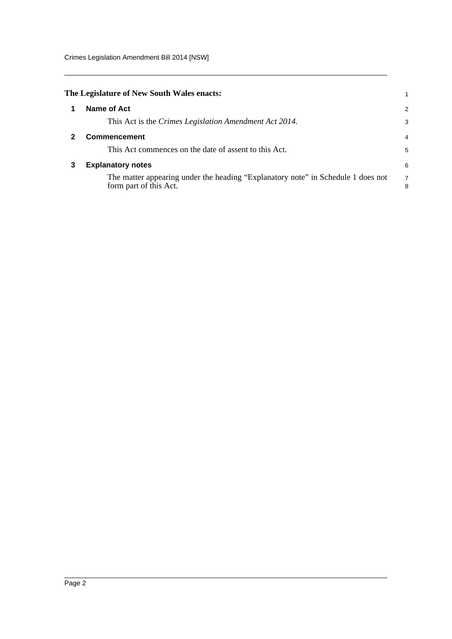Crimes Legislation Amendment Bill 2014 [NSW]

<span id="page-4-2"></span><span id="page-4-1"></span><span id="page-4-0"></span>

|   | The Legislature of New South Wales enacts:                                                                 |        |
|---|------------------------------------------------------------------------------------------------------------|--------|
|   | Name of Act                                                                                                | 2      |
|   | This Act is the <i>Crimes Legislation Amendment Act 2014</i> .                                             | 3      |
|   | Commencement                                                                                               | 4      |
|   | This Act commences on the date of assent to this Act.                                                      | 5      |
| 3 | <b>Explanatory notes</b>                                                                                   | 6      |
|   | The matter appearing under the heading "Explanatory note" in Schedule 1 does not<br>form part of this Act. | 7<br>8 |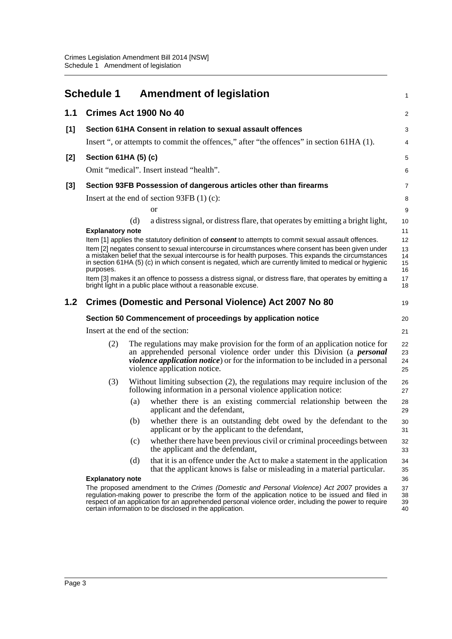<span id="page-5-0"></span>

|     | <b>Schedule 1</b>       |     | <b>Amendment of legislation</b>                                                                                                                                                                                                                                                                                                                                   | 1                       |
|-----|-------------------------|-----|-------------------------------------------------------------------------------------------------------------------------------------------------------------------------------------------------------------------------------------------------------------------------------------------------------------------------------------------------------------------|-------------------------|
| 1.1 |                         |     | Crimes Act 1900 No 40                                                                                                                                                                                                                                                                                                                                             | $\overline{\mathbf{c}}$ |
| [1] |                         |     | Section 61HA Consent in relation to sexual assault offences                                                                                                                                                                                                                                                                                                       | 3                       |
|     |                         |     | Insert ", or attempts to commit the offences," after "the offences" in section 61HA (1).                                                                                                                                                                                                                                                                          | 4                       |
| [2] | Section 61HA (5) (c)    |     |                                                                                                                                                                                                                                                                                                                                                                   | 5                       |
|     |                         |     | Omit "medical". Insert instead "health".                                                                                                                                                                                                                                                                                                                          | 6                       |
| [3] |                         |     | Section 93FB Possession of dangerous articles other than firearms                                                                                                                                                                                                                                                                                                 | 7                       |
|     |                         |     | Insert at the end of section 93FB $(1)$ (c):                                                                                                                                                                                                                                                                                                                      | 8                       |
|     |                         |     | <b>or</b>                                                                                                                                                                                                                                                                                                                                                         | 9                       |
|     | <b>Explanatory note</b> | (d) | a distress signal, or distress flare, that operates by emitting a bright light,                                                                                                                                                                                                                                                                                   | 10<br>11                |
|     |                         |     | Item [1] applies the statutory definition of consent to attempts to commit sexual assault offences.                                                                                                                                                                                                                                                               | 12                      |
|     | purposes.               |     | Item [2] negates consent to sexual intercourse in circumstances where consent has been given under<br>a mistaken belief that the sexual intercourse is for health purposes. This expands the circumstances<br>in section 61HA (5) (c) in which consent is negated, which are currently limited to medical or hygienic                                             | 13<br>14<br>15<br>16    |
|     |                         |     | Item [3] makes it an offence to possess a distress signal, or distress flare, that operates by emitting a<br>bright light in a public place without a reasonable excuse.                                                                                                                                                                                          | 17<br>18                |
| 1.2 |                         |     | Crimes (Domestic and Personal Violence) Act 2007 No 80                                                                                                                                                                                                                                                                                                            | 19                      |
|     |                         |     | Section 50 Commencement of proceedings by application notice                                                                                                                                                                                                                                                                                                      | 20                      |
|     |                         |     | Insert at the end of the section:                                                                                                                                                                                                                                                                                                                                 | 21                      |
|     | (2)                     |     | The regulations may make provision for the form of an application notice for<br>an apprehended personal violence order under this Division (a <i>personal</i><br><i>violence application notice</i> ) or for the information to be included in a personal<br>violence application notice.                                                                         | 22<br>23<br>24<br>25    |
|     | (3)                     |     | Without limiting subsection $(2)$ , the regulations may require inclusion of the<br>following information in a personal violence application notice:                                                                                                                                                                                                              | 26<br>27                |
|     |                         | (a) | whether there is an existing commercial relationship between the<br>applicant and the defendant,                                                                                                                                                                                                                                                                  | 28<br>29                |
|     |                         | (b) | whether there is an outstanding debt owed by the defendant to the<br>applicant or by the applicant to the defendant,                                                                                                                                                                                                                                              | 30<br>31                |
|     |                         | (c) | whether there have been previous civil or criminal proceedings between<br>the applicant and the defendant,                                                                                                                                                                                                                                                        | 32<br>33                |
|     |                         | (d) | that it is an offence under the Act to make a statement in the application<br>that the applicant knows is false or misleading in a material particular.                                                                                                                                                                                                           | 34<br>35                |
|     | <b>Explanatory note</b> |     |                                                                                                                                                                                                                                                                                                                                                                   | 36                      |
|     |                         |     | The proposed amendment to the Crimes (Domestic and Personal Violence) Act 2007 provides a<br>regulation-making power to prescribe the form of the application notice to be issued and filed in<br>respect of an application for an apprehended personal violence order, including the power to require<br>certain information to be disclosed in the application. | 37<br>38<br>39<br>40    |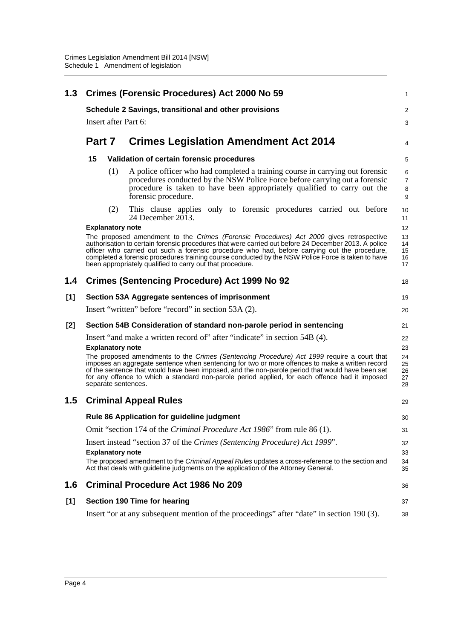| 1.3     | <b>Crimes (Forensic Procedures) Act 2000 No 59</b> |     |                                                                                                                                                                                                                                                                                                                                                                                                                                                                                                          |                                        |  |  |  |
|---------|----------------------------------------------------|-----|----------------------------------------------------------------------------------------------------------------------------------------------------------------------------------------------------------------------------------------------------------------------------------------------------------------------------------------------------------------------------------------------------------------------------------------------------------------------------------------------------------|----------------------------------------|--|--|--|
|         |                                                    |     | Schedule 2 Savings, transitional and other provisions                                                                                                                                                                                                                                                                                                                                                                                                                                                    | 2                                      |  |  |  |
|         | Insert after Part 6:                               |     |                                                                                                                                                                                                                                                                                                                                                                                                                                                                                                          |                                        |  |  |  |
|         | Part 7                                             |     | <b>Crimes Legislation Amendment Act 2014</b>                                                                                                                                                                                                                                                                                                                                                                                                                                                             |                                        |  |  |  |
|         | 15                                                 |     | Validation of certain forensic procedures                                                                                                                                                                                                                                                                                                                                                                                                                                                                |                                        |  |  |  |
|         |                                                    | (1) | A police officer who had completed a training course in carrying out forensic<br>procedures conducted by the NSW Police Force before carrying out a forensic<br>procedure is taken to have been appropriately qualified to carry out the<br>forensic procedure.                                                                                                                                                                                                                                          | 6<br>$\overline{7}$<br>8<br>9          |  |  |  |
|         |                                                    | (2) | This clause applies only to forensic procedures carried out before<br>24 December $20\overline{1}3$ .                                                                                                                                                                                                                                                                                                                                                                                                    | 10<br>11                               |  |  |  |
|         | <b>Explanatory note</b>                            |     |                                                                                                                                                                                                                                                                                                                                                                                                                                                                                                          | 12                                     |  |  |  |
|         |                                                    |     | The proposed amendment to the Crimes (Forensic Procedures) Act 2000 gives retrospective<br>authorisation to certain forensic procedures that were carried out before 24 December 2013. A police<br>officer who carried out such a forensic procedure who had, before carrying out the procedure,<br>completed a forensic procedures training course conducted by the NSW Police Force is taken to have<br>been appropriately qualified to carry out that procedure.                                      | 13<br>14<br>15<br>16<br>17             |  |  |  |
| 1.4     |                                                    |     | <b>Crimes (Sentencing Procedure) Act 1999 No 92</b>                                                                                                                                                                                                                                                                                                                                                                                                                                                      | 18                                     |  |  |  |
| [1]     |                                                    |     | Section 53A Aggregate sentences of imprisonment                                                                                                                                                                                                                                                                                                                                                                                                                                                          | 19                                     |  |  |  |
|         |                                                    |     | Insert "written" before "record" in section 53A (2).                                                                                                                                                                                                                                                                                                                                                                                                                                                     | 20                                     |  |  |  |
| [2]     |                                                    |     | Section 54B Consideration of standard non-parole period in sentencing                                                                                                                                                                                                                                                                                                                                                                                                                                    | 21                                     |  |  |  |
|         | <b>Explanatory note</b>                            |     | Insert "and make a written record of" after "indicate" in section 54B (4).<br>The proposed amendments to the Crimes (Sentencing Procedure) Act 1999 require a court that<br>imposes an aggregate sentence when sentencing for two or more offences to make a written record<br>of the sentence that would have been imposed, and the non-parole period that would have been set<br>for any offence to which a standard non-parole period applied, for each offence had it imposed<br>separate sentences. | 22<br>23<br>24<br>25<br>26<br>27<br>28 |  |  |  |
| $1.5\,$ |                                                    |     | <b>Criminal Appeal Rules</b>                                                                                                                                                                                                                                                                                                                                                                                                                                                                             | 29                                     |  |  |  |
|         |                                                    |     | Rule 86 Application for guideline judgment                                                                                                                                                                                                                                                                                                                                                                                                                                                               | 30                                     |  |  |  |
|         |                                                    |     | Omit "section 174 of the Criminal Procedure Act 1986" from rule 86 (1).                                                                                                                                                                                                                                                                                                                                                                                                                                  | 31                                     |  |  |  |
|         |                                                    |     | Insert instead "section 37 of the Crimes (Sentencing Procedure) Act 1999".                                                                                                                                                                                                                                                                                                                                                                                                                               | 32                                     |  |  |  |
|         | <b>Explanatory note</b>                            |     | The proposed amendment to the Criminal Appeal Rules updates a cross-reference to the section and<br>Act that deals with guideline judgments on the application of the Attorney General.                                                                                                                                                                                                                                                                                                                  | 33<br>34<br>35                         |  |  |  |
| 1.6     |                                                    |     | <b>Criminal Procedure Act 1986 No 209</b>                                                                                                                                                                                                                                                                                                                                                                                                                                                                | 36                                     |  |  |  |
| [1]     |                                                    |     | <b>Section 190 Time for hearing</b>                                                                                                                                                                                                                                                                                                                                                                                                                                                                      | 37                                     |  |  |  |
|         |                                                    |     | Insert "or at any subsequent mention of the proceedings" after "date" in section 190 (3).                                                                                                                                                                                                                                                                                                                                                                                                                | 38                                     |  |  |  |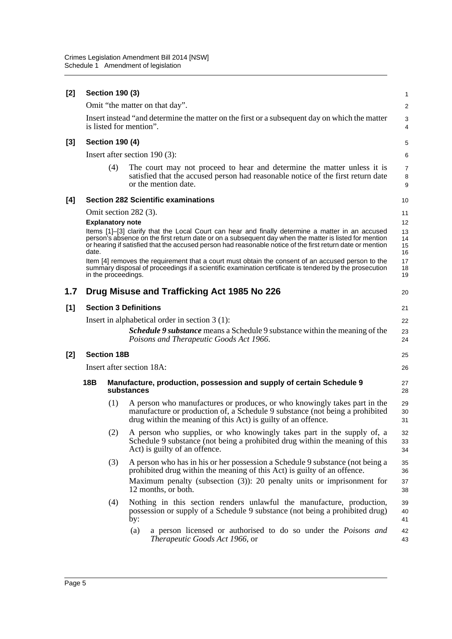| [2]   |                                 | <b>Section 190 (3)</b>                                                             |                                                                                                                                                                                                                                                                                                                         | 1                       |  |  |  |
|-------|---------------------------------|------------------------------------------------------------------------------------|-------------------------------------------------------------------------------------------------------------------------------------------------------------------------------------------------------------------------------------------------------------------------------------------------------------------------|-------------------------|--|--|--|
|       |                                 |                                                                                    | Omit "the matter on that day".                                                                                                                                                                                                                                                                                          | $\overline{\mathbf{c}}$ |  |  |  |
|       |                                 |                                                                                    | Insert instead "and determine the matter on the first or a subsequent day on which the matter<br>is listed for mention".                                                                                                                                                                                                | 3<br>4                  |  |  |  |
| $[3]$ |                                 | <b>Section 190 (4)</b>                                                             |                                                                                                                                                                                                                                                                                                                         | 5                       |  |  |  |
|       |                                 |                                                                                    | Insert after section $190(3)$ :                                                                                                                                                                                                                                                                                         | 6                       |  |  |  |
|       |                                 | (4)                                                                                | The court may not proceed to hear and determine the matter unless it is<br>satisfied that the accused person had reasonable notice of the first return date<br>or the mention date.                                                                                                                                     | 7<br>8<br>9             |  |  |  |
| [4]   |                                 |                                                                                    | <b>Section 282 Scientific examinations</b>                                                                                                                                                                                                                                                                              | 10                      |  |  |  |
|       |                                 |                                                                                    | Omit section 282 (3).                                                                                                                                                                                                                                                                                                   | 11                      |  |  |  |
|       |                                 | <b>Explanatory note</b>                                                            |                                                                                                                                                                                                                                                                                                                         | 12                      |  |  |  |
|       | date.                           |                                                                                    | Items [1]-[3] clarify that the Local Court can hear and finally determine a matter in an accused<br>person's absence on the first return date or on a subsequent day when the matter is listed for mention<br>or hearing if satisfied that the accused person had reasonable notice of the first return date or mention | 13<br>14<br>15<br>16    |  |  |  |
|       |                                 |                                                                                    | Item [4] removes the requirement that a court must obtain the consent of an accused person to the<br>summary disposal of proceedings if a scientific examination certificate is tendered by the prosecution<br>in the proceedings.                                                                                      | 17<br>18<br>19          |  |  |  |
| 1.7   |                                 |                                                                                    | Drug Misuse and Trafficking Act 1985 No 226                                                                                                                                                                                                                                                                             | 20                      |  |  |  |
| [1]   |                                 |                                                                                    | <b>Section 3 Definitions</b>                                                                                                                                                                                                                                                                                            | 21                      |  |  |  |
|       |                                 |                                                                                    | Insert in alphabetical order in section $3(1)$ :                                                                                                                                                                                                                                                                        | 22                      |  |  |  |
|       |                                 |                                                                                    | <b>Schedule 9 substance</b> means a Schedule 9 substance within the meaning of the<br>Poisons and Therapeutic Goods Act 1966.                                                                                                                                                                                           | 23<br>24                |  |  |  |
| $[2]$ |                                 | <b>Section 18B</b>                                                                 |                                                                                                                                                                                                                                                                                                                         | 25                      |  |  |  |
|       | Insert after section 18A:<br>26 |                                                                                    |                                                                                                                                                                                                                                                                                                                         |                         |  |  |  |
|       | 18 <sub>B</sub>                 | Manufacture, production, possession and supply of certain Schedule 9<br>substances | 27<br>28                                                                                                                                                                                                                                                                                                                |                         |  |  |  |
|       |                                 | (1)                                                                                | A person who manufactures or produces, or who knowingly takes part in the<br>manufacture or production of, a Schedule 9 substance (not being a prohibited<br>drug within the meaning of this Act) is guilty of an offence.                                                                                              | 29<br>30<br>31          |  |  |  |
|       |                                 | (2)                                                                                | A person who supplies, or who knowingly takes part in the supply of, a<br>Schedule 9 substance (not being a prohibited drug within the meaning of this<br>Act) is guilty of an offence.                                                                                                                                 | 32<br>33<br>34          |  |  |  |
|       |                                 | (3)                                                                                | A person who has in his or her possession a Schedule 9 substance (not being a<br>prohibited drug within the meaning of this Act) is guilty of an offence.<br>Maximum penalty (subsection $(3)$ ): 20 penalty units or imprisonment for<br>12 months, or both.                                                           | 35<br>36<br>37<br>38    |  |  |  |
|       |                                 | (4)                                                                                | Nothing in this section renders unlawful the manufacture, production,<br>possession or supply of a Schedule 9 substance (not being a prohibited drug)<br>by:                                                                                                                                                            | 39<br>40<br>41          |  |  |  |
|       |                                 |                                                                                    | a person licensed or authorised to do so under the <i>Poisons and</i><br>(a)<br>Therapeutic Goods Act 1966, or                                                                                                                                                                                                          | 42<br>43                |  |  |  |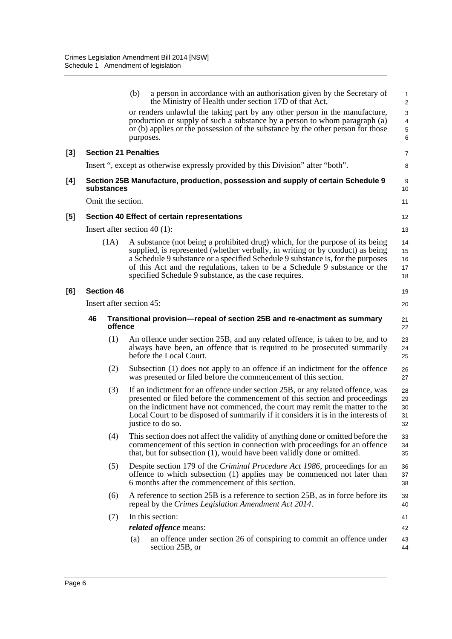|          |                             |      | (b)                                                                                  | a person in accordance with an authorisation given by the Secretary of<br>the Ministry of Health under section 17D of that Act,                                                                                                                                                                                                                                                           | 1<br>$\overline{\mathbf{c}}$ |  |  |
|----------|-----------------------------|------|--------------------------------------------------------------------------------------|-------------------------------------------------------------------------------------------------------------------------------------------------------------------------------------------------------------------------------------------------------------------------------------------------------------------------------------------------------------------------------------------|------------------------------|--|--|
|          |                             |      | purposes.                                                                            | or renders unlawful the taking part by any other person in the manufacture,<br>production or supply of such a substance by a person to whom paragraph (a)<br>or (b) applies or the possession of the substance by the other person for those                                                                                                                                              | 3<br>4<br>5<br>6             |  |  |
| $^{[3]}$ | <b>Section 21 Penalties</b> |      |                                                                                      |                                                                                                                                                                                                                                                                                                                                                                                           | 7                            |  |  |
|          |                             |      |                                                                                      | Insert ", except as otherwise expressly provided by this Division" after "both".                                                                                                                                                                                                                                                                                                          | 8                            |  |  |
| [4]      | substances                  |      |                                                                                      | Section 25B Manufacture, production, possession and supply of certain Schedule 9                                                                                                                                                                                                                                                                                                          | 9<br>10                      |  |  |
|          | Omit the section.           |      |                                                                                      |                                                                                                                                                                                                                                                                                                                                                                                           | 11                           |  |  |
| [5]      |                             |      |                                                                                      | Section 40 Effect of certain representations                                                                                                                                                                                                                                                                                                                                              | 12                           |  |  |
|          |                             |      |                                                                                      | Insert after section 40 $(1)$ :                                                                                                                                                                                                                                                                                                                                                           | 13                           |  |  |
|          |                             | (1A) |                                                                                      | A substance (not being a prohibited drug) which, for the purpose of its being<br>supplied, is represented (whether verbally, in writing or by conduct) as being<br>a Schedule 9 substance or a specified Schedule 9 substance is, for the purposes<br>of this Act and the regulations, taken to be a Schedule 9 substance or the<br>specified Schedule 9 substance, as the case requires. | 14<br>15<br>16<br>17<br>18   |  |  |
| [6]      | <b>Section 46</b>           |      |                                                                                      |                                                                                                                                                                                                                                                                                                                                                                                           | 19                           |  |  |
|          | Insert after section 45:    |      |                                                                                      |                                                                                                                                                                                                                                                                                                                                                                                           | 20                           |  |  |
|          | 46<br>offence               |      | Transitional provision—repeal of section 25B and re-enactment as summary<br>21<br>22 |                                                                                                                                                                                                                                                                                                                                                                                           |                              |  |  |
|          |                             | (1)  |                                                                                      | An offence under section 25B, and any related offence, is taken to be, and to<br>always have been, an offence that is required to be prosecuted summarily<br>before the Local Court.                                                                                                                                                                                                      | 23<br>24<br>25               |  |  |
|          |                             | (2)  |                                                                                      | Subsection (1) does not apply to an offence if an indictment for the offence<br>was presented or filed before the commencement of this section.                                                                                                                                                                                                                                           | 26<br>27                     |  |  |
|          |                             | (3)  |                                                                                      | If an indictment for an offence under section 25B, or any related offence, was<br>presented or filed before the commencement of this section and proceedings<br>on the indictment have not commenced, the court may remit the matter to the<br>Local Court to be disposed of summarily if it considers it is in the interests of<br>justice to do so.                                     | 28<br>29<br>30<br>31<br>32   |  |  |
|          |                             | (4)  |                                                                                      | This section does not affect the validity of anything done or omitted before the<br>commencement of this section in connection with proceedings for an offence<br>that, but for subsection (1), would have been validly done or omitted.                                                                                                                                                  | 33<br>34<br>35               |  |  |
|          |                             | (5)  |                                                                                      | Despite section 179 of the Criminal Procedure Act 1986, proceedings for an<br>offence to which subsection (1) applies may be commenced not later than<br>6 months after the commencement of this section.                                                                                                                                                                                 | 36<br>37<br>38               |  |  |
|          |                             | (6)  |                                                                                      | A reference to section 25B is a reference to section 25B, as in force before its<br>repeal by the Crimes Legislation Amendment Act 2014.                                                                                                                                                                                                                                                  | 39<br>40                     |  |  |
|          |                             | (7)  |                                                                                      | In this section:                                                                                                                                                                                                                                                                                                                                                                          | 41                           |  |  |
|          |                             |      |                                                                                      | <i>related offence</i> means:                                                                                                                                                                                                                                                                                                                                                             | 42                           |  |  |
|          |                             |      | (a)                                                                                  | an offence under section 26 of conspiring to commit an offence under<br>section 25B, or                                                                                                                                                                                                                                                                                                   | 43<br>44                     |  |  |
|          |                             |      |                                                                                      |                                                                                                                                                                                                                                                                                                                                                                                           |                              |  |  |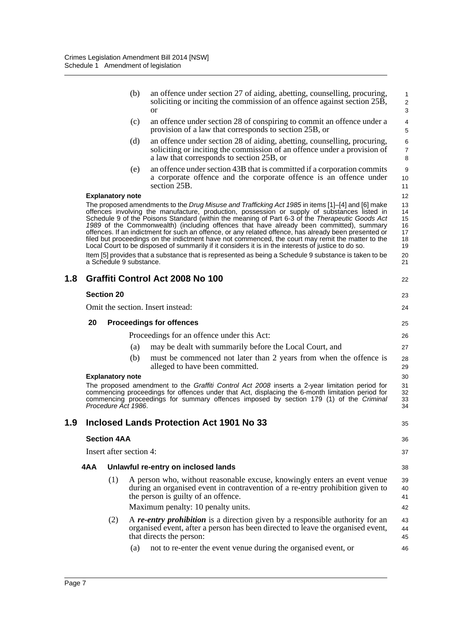|     |     |                         | (b) | an offence under section 27 of aiding, abetting, counselling, procuring,<br>soliciting or inciting the commission of an offence against section 25B,<br><sub>or</sub>                                                                                                                                                                                                                                                                                                                                                                                                                                                                                                                                                                                                                                                          | 1<br>$\overline{c}$<br>3                           |
|-----|-----|-------------------------|-----|--------------------------------------------------------------------------------------------------------------------------------------------------------------------------------------------------------------------------------------------------------------------------------------------------------------------------------------------------------------------------------------------------------------------------------------------------------------------------------------------------------------------------------------------------------------------------------------------------------------------------------------------------------------------------------------------------------------------------------------------------------------------------------------------------------------------------------|----------------------------------------------------|
|     |     |                         | (c) | an offence under section 28 of conspiring to commit an offence under a<br>provision of a law that corresponds to section 25B, or                                                                                                                                                                                                                                                                                                                                                                                                                                                                                                                                                                                                                                                                                               | $\overline{4}$<br>5                                |
|     |     |                         | (d) | an offence under section 28 of aiding, abetting, counselling, procuring,<br>soliciting or inciting the commission of an offence under a provision of<br>a law that corresponds to section 25B, or                                                                                                                                                                                                                                                                                                                                                                                                                                                                                                                                                                                                                              | 6<br>7<br>8                                        |
|     |     |                         | (e) | an offence under section 43B that is committed if a corporation commits<br>a corporate offence and the corporate offence is an offence under<br>section 25B.                                                                                                                                                                                                                                                                                                                                                                                                                                                                                                                                                                                                                                                                   | 9<br>10<br>11                                      |
|     |     | <b>Explanatory note</b> |     |                                                                                                                                                                                                                                                                                                                                                                                                                                                                                                                                                                                                                                                                                                                                                                                                                                | 12                                                 |
|     |     | a Schedule 9 substance. |     | The proposed amendments to the Drug Misuse and Trafficking Act 1985 in items [1]-[4] and [6] make<br>offences involving the manufacture, production, possession or supply of substances listed in<br>Schedule 9 of the Poisons Standard (within the meaning of Part 6-3 of the Therapeutic Goods Act<br>1989 of the Commonwealth) (including offences that have already been committed), summary<br>offences. If an indictment for such an offence, or any related offence, has already been presented or<br>filed but proceedings on the indictment have not commenced, the court may remit the matter to the<br>Local Court to be disposed of summarily if it considers it is in the interests of justice to do so.<br>Item [5] provides that a substance that is represented as being a Schedule 9 substance is taken to be | 13<br>14<br>15<br>16<br>17<br>18<br>19<br>20<br>21 |
| 1.8 |     |                         |     | Graffiti Control Act 2008 No 100                                                                                                                                                                                                                                                                                                                                                                                                                                                                                                                                                                                                                                                                                                                                                                                               | 22                                                 |
|     |     | <b>Section 20</b>       |     |                                                                                                                                                                                                                                                                                                                                                                                                                                                                                                                                                                                                                                                                                                                                                                                                                                | 23                                                 |
|     |     |                         |     | Omit the section. Insert instead:                                                                                                                                                                                                                                                                                                                                                                                                                                                                                                                                                                                                                                                                                                                                                                                              | 24                                                 |
|     | 20  |                         |     | <b>Proceedings for offences</b>                                                                                                                                                                                                                                                                                                                                                                                                                                                                                                                                                                                                                                                                                                                                                                                                | 25                                                 |
|     |     |                         |     | Proceedings for an offence under this Act:                                                                                                                                                                                                                                                                                                                                                                                                                                                                                                                                                                                                                                                                                                                                                                                     | 26                                                 |
|     |     |                         | (a) | may be dealt with summarily before the Local Court, and                                                                                                                                                                                                                                                                                                                                                                                                                                                                                                                                                                                                                                                                                                                                                                        | 27                                                 |
|     |     |                         | (b) | must be commenced not later than 2 years from when the offence is<br>alleged to have been committed.                                                                                                                                                                                                                                                                                                                                                                                                                                                                                                                                                                                                                                                                                                                           | 28<br>29                                           |
|     |     | <b>Explanatory note</b> |     |                                                                                                                                                                                                                                                                                                                                                                                                                                                                                                                                                                                                                                                                                                                                                                                                                                | 30                                                 |
|     |     | Procedure Act 1986.     |     | The proposed amendment to the Graffiti Control Act 2008 inserts a 2-year limitation period for<br>commencing proceedings for offences under that Act, displacing the 6-month limitation period for<br>commencing proceedings for summary offences imposed by section 179 (1) of the Criminal                                                                                                                                                                                                                                                                                                                                                                                                                                                                                                                                   | 31<br>32<br>33<br>34                               |
| 1.9 |     |                         |     | <b>Inclosed Lands Protection Act 1901 No 33</b>                                                                                                                                                                                                                                                                                                                                                                                                                                                                                                                                                                                                                                                                                                                                                                                | 35                                                 |
|     |     | <b>Section 4AA</b>      |     |                                                                                                                                                                                                                                                                                                                                                                                                                                                                                                                                                                                                                                                                                                                                                                                                                                | 36                                                 |
|     |     | Insert after section 4: |     |                                                                                                                                                                                                                                                                                                                                                                                                                                                                                                                                                                                                                                                                                                                                                                                                                                | 37                                                 |
|     | 4AA |                         |     | Unlawful re-entry on inclosed lands                                                                                                                                                                                                                                                                                                                                                                                                                                                                                                                                                                                                                                                                                                                                                                                            | 38                                                 |
|     |     | (1)                     |     | A person who, without reasonable excuse, knowingly enters an event venue<br>during an organised event in contravention of a re-entry prohibition given to<br>the person is guilty of an offence.                                                                                                                                                                                                                                                                                                                                                                                                                                                                                                                                                                                                                               | 39<br>40<br>41                                     |
|     |     |                         |     | Maximum penalty: 10 penalty units.                                                                                                                                                                                                                                                                                                                                                                                                                                                                                                                                                                                                                                                                                                                                                                                             | 42                                                 |
|     |     | (2)                     |     | A re-entry prohibition is a direction given by a responsible authority for an<br>organised event, after a person has been directed to leave the organised event,<br>that directs the person:                                                                                                                                                                                                                                                                                                                                                                                                                                                                                                                                                                                                                                   | 43<br>44<br>45                                     |
|     |     |                         | (a) | not to re-enter the event venue during the organised event, or                                                                                                                                                                                                                                                                                                                                                                                                                                                                                                                                                                                                                                                                                                                                                                 | 46                                                 |
|     |     |                         |     |                                                                                                                                                                                                                                                                                                                                                                                                                                                                                                                                                                                                                                                                                                                                                                                                                                |                                                    |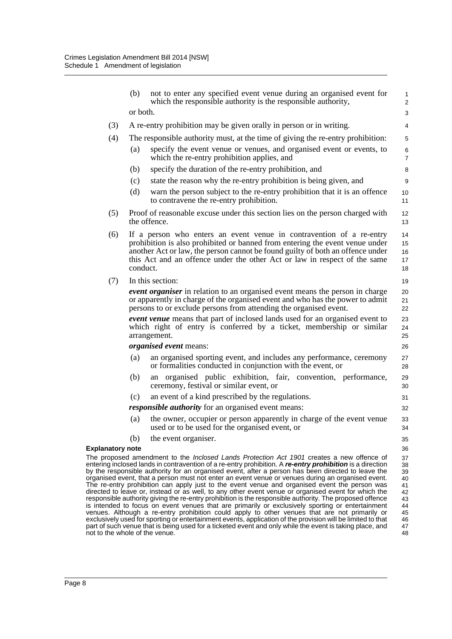|                         | (b)      | not to enter any specified event venue during an organised event for<br>which the responsible authority is the responsible authority,                                                                                                                                                                                                                                                                                                                                                                                                                                                                                                                                                                                                                                                                                                                                                                                                             | $\mathbf{1}$<br>$\overline{2}$                     |
|-------------------------|----------|---------------------------------------------------------------------------------------------------------------------------------------------------------------------------------------------------------------------------------------------------------------------------------------------------------------------------------------------------------------------------------------------------------------------------------------------------------------------------------------------------------------------------------------------------------------------------------------------------------------------------------------------------------------------------------------------------------------------------------------------------------------------------------------------------------------------------------------------------------------------------------------------------------------------------------------------------|----------------------------------------------------|
|                         | or both. |                                                                                                                                                                                                                                                                                                                                                                                                                                                                                                                                                                                                                                                                                                                                                                                                                                                                                                                                                   | 3                                                  |
| (3)                     |          | A re-entry prohibition may be given orally in person or in writing.                                                                                                                                                                                                                                                                                                                                                                                                                                                                                                                                                                                                                                                                                                                                                                                                                                                                               | 4                                                  |
| (4)                     |          | The responsible authority must, at the time of giving the re-entry prohibition:                                                                                                                                                                                                                                                                                                                                                                                                                                                                                                                                                                                                                                                                                                                                                                                                                                                                   | 5                                                  |
|                         | (a)      | specify the event venue or venues, and organised event or events, to<br>which the re-entry prohibition applies, and                                                                                                                                                                                                                                                                                                                                                                                                                                                                                                                                                                                                                                                                                                                                                                                                                               | 6<br>$\overline{7}$                                |
|                         | (b)      | specify the duration of the re-entry prohibition, and                                                                                                                                                                                                                                                                                                                                                                                                                                                                                                                                                                                                                                                                                                                                                                                                                                                                                             | 8                                                  |
|                         | (c)      | state the reason why the re-entry prohibition is being given, and                                                                                                                                                                                                                                                                                                                                                                                                                                                                                                                                                                                                                                                                                                                                                                                                                                                                                 | 9                                                  |
|                         | (d)      | warn the person subject to the re-entry prohibition that it is an offence<br>to contravene the re-entry prohibition.                                                                                                                                                                                                                                                                                                                                                                                                                                                                                                                                                                                                                                                                                                                                                                                                                              | 10<br>11                                           |
| (5)                     |          | Proof of reasonable excuse under this section lies on the person charged with<br>the offence.                                                                                                                                                                                                                                                                                                                                                                                                                                                                                                                                                                                                                                                                                                                                                                                                                                                     | 12<br>13                                           |
| (6)                     | conduct. | If a person who enters an event venue in contravention of a re-entry<br>prohibition is also prohibited or banned from entering the event venue under<br>another Act or law, the person cannot be found guilty of both an offence under<br>this Act and an offence under the other Act or law in respect of the same                                                                                                                                                                                                                                                                                                                                                                                                                                                                                                                                                                                                                               | 14<br>15<br>16<br>17<br>18                         |
| (7)                     |          | In this section:                                                                                                                                                                                                                                                                                                                                                                                                                                                                                                                                                                                                                                                                                                                                                                                                                                                                                                                                  | 19                                                 |
|                         |          | event organiser in relation to an organised event means the person in charge<br>or apparently in charge of the organised event and who has the power to admit<br>persons to or exclude persons from attending the organised event.                                                                                                                                                                                                                                                                                                                                                                                                                                                                                                                                                                                                                                                                                                                | 20<br>21<br>22                                     |
|                         |          | event venue means that part of inclosed lands used for an organised event to<br>which right of entry is conferred by a ticket, membership or similar<br>arrangement.                                                                                                                                                                                                                                                                                                                                                                                                                                                                                                                                                                                                                                                                                                                                                                              | 23<br>24<br>25                                     |
|                         |          | organised event means:                                                                                                                                                                                                                                                                                                                                                                                                                                                                                                                                                                                                                                                                                                                                                                                                                                                                                                                            | 26                                                 |
|                         | (a)      | an organised sporting event, and includes any performance, ceremony<br>or formalities conducted in conjunction with the event, or                                                                                                                                                                                                                                                                                                                                                                                                                                                                                                                                                                                                                                                                                                                                                                                                                 | 27<br>28                                           |
|                         | (b)      | organised public exhibition, fair, convention, performance,<br>an<br>ceremony, festival or similar event, or                                                                                                                                                                                                                                                                                                                                                                                                                                                                                                                                                                                                                                                                                                                                                                                                                                      | 29<br>30                                           |
|                         | (c)      | an event of a kind prescribed by the regulations.                                                                                                                                                                                                                                                                                                                                                                                                                                                                                                                                                                                                                                                                                                                                                                                                                                                                                                 | 31                                                 |
|                         |          | <i>responsible authority</i> for an organised event means:                                                                                                                                                                                                                                                                                                                                                                                                                                                                                                                                                                                                                                                                                                                                                                                                                                                                                        | 32                                                 |
|                         | (a)      | the owner, occupier or person apparently in charge of the event venue<br>used or to be used for the organised event, or                                                                                                                                                                                                                                                                                                                                                                                                                                                                                                                                                                                                                                                                                                                                                                                                                           | 33<br>34                                           |
|                         | (b)      | the event organiser.                                                                                                                                                                                                                                                                                                                                                                                                                                                                                                                                                                                                                                                                                                                                                                                                                                                                                                                              | 35                                                 |
| <b>Explanatory note</b> |          |                                                                                                                                                                                                                                                                                                                                                                                                                                                                                                                                                                                                                                                                                                                                                                                                                                                                                                                                                   | 36                                                 |
|                         |          | The proposed amendment to the <i>Inclosed Lands Protection Act 1901</i> creates a new offence of<br>entering inclosed lands in contravention of a re-entry prohibition. A re-entry prohibition is a direction<br>by the responsible authority for an organised event, after a person has been directed to leave the<br>organised event, that a person must not enter an event venue or venues during an organised event.<br>The re-entry prohibition can apply just to the event venue and organised event the person was<br>directed to leave or, instead or as well, to any other event venue or organised event for which the<br>responsible authority giving the re-entry prohibition is the responsible authority. The proposed offence<br>is intended to focus on event venues that are primarily or exclusively sporting or entertainment<br>venues. Although a re-entry prohibition could apply to other venues that are not primarily or | 37<br>38<br>39<br>40<br>41<br>42<br>43<br>44<br>45 |
|                         |          | exclusively used for sporting or entertainment events, application of the provision will be limited to that                                                                                                                                                                                                                                                                                                                                                                                                                                                                                                                                                                                                                                                                                                                                                                                                                                       | 46                                                 |

part of such venue that is being used for a ticketed event and only while the event is taking place, and

not to the whole of the venue.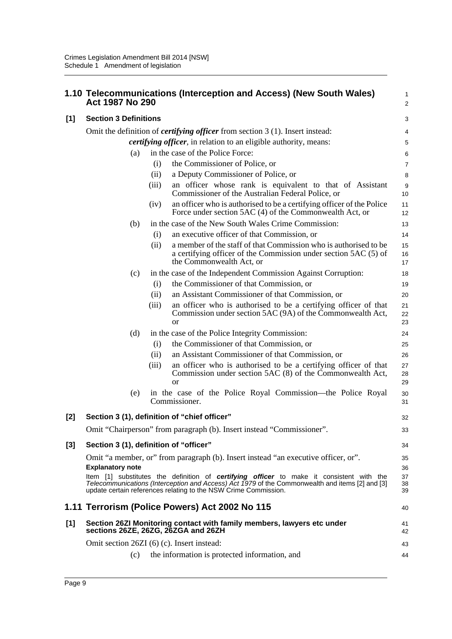|       | Act 1987 No 290                                                                      |       | 1.10 Telecommunications (Interception and Access) (New South Wales)                                                                                                            | 1<br>$\overline{\mathbf{c}}$ |  |  |
|-------|--------------------------------------------------------------------------------------|-------|--------------------------------------------------------------------------------------------------------------------------------------------------------------------------------|------------------------------|--|--|
| [1]   | <b>Section 3 Definitions</b>                                                         |       |                                                                                                                                                                                | 3                            |  |  |
|       | Omit the definition of <i>certifying officer</i> from section 3 (1). Insert instead: |       |                                                                                                                                                                                |                              |  |  |
|       |                                                                                      |       | <i>certifying officer</i> , in relation to an eligible authority, means:                                                                                                       | 4<br>5                       |  |  |
|       | (a)                                                                                  |       | in the case of the Police Force:                                                                                                                                               | 6                            |  |  |
|       |                                                                                      | (i)   | the Commissioner of Police, or                                                                                                                                                 | $\overline{7}$               |  |  |
|       |                                                                                      | (ii)  | a Deputy Commissioner of Police, or                                                                                                                                            | 8                            |  |  |
|       |                                                                                      | (iii) | an officer whose rank is equivalent to that of Assistant<br>Commissioner of the Australian Federal Police, or                                                                  | 9<br>10                      |  |  |
|       |                                                                                      | (iv)  | an officer who is authorised to be a certifying officer of the Police<br>Force under section 5AC (4) of the Commonwealth Act, or                                               | 11<br>12                     |  |  |
|       | (b)                                                                                  |       | in the case of the New South Wales Crime Commission:                                                                                                                           | 13                           |  |  |
|       |                                                                                      | (i)   | an executive officer of that Commission, or                                                                                                                                    | 14                           |  |  |
|       |                                                                                      | (ii)  | a member of the staff of that Commission who is authorised to be<br>a certifying officer of the Commission under section 5AC (5) of<br>the Commonwealth Act, or                | 15<br>16<br>17               |  |  |
|       | (c)                                                                                  |       | in the case of the Independent Commission Against Corruption:                                                                                                                  | 18                           |  |  |
|       |                                                                                      | (i)   | the Commissioner of that Commission, or                                                                                                                                        | 19                           |  |  |
|       |                                                                                      | (ii)  | an Assistant Commissioner of that Commission, or                                                                                                                               | 20                           |  |  |
|       |                                                                                      | (iii) | an officer who is authorised to be a certifying officer of that<br>Commission under section 5AC (9A) of the Commonwealth Act,<br><sub>or</sub>                                 | 21<br>22<br>23               |  |  |
|       | (d)                                                                                  |       | in the case of the Police Integrity Commission:                                                                                                                                | 24                           |  |  |
|       |                                                                                      | (i)   | the Commissioner of that Commission, or                                                                                                                                        | 25                           |  |  |
|       |                                                                                      | (ii)  | an Assistant Commissioner of that Commission, or                                                                                                                               | 26                           |  |  |
|       |                                                                                      | (iii) | an officer who is authorised to be a certifying officer of that<br>Commission under section 5AC (8) of the Commonwealth Act,<br><sub>or</sub>                                  | 27<br>28<br>29               |  |  |
|       | (e)                                                                                  |       | in the case of the Police Royal Commission—the Police Royal<br>Commissioner.                                                                                                   | 30<br>31                     |  |  |
| $[2]$ |                                                                                      |       | Section 3 (1), definition of "chief officer"                                                                                                                                   | 32                           |  |  |
|       |                                                                                      |       | Omit "Chairperson" from paragraph (b). Insert instead "Commissioner".                                                                                                          | 33                           |  |  |
| $[3]$ | Section 3 (1), definition of "officer"                                               |       |                                                                                                                                                                                | 34                           |  |  |
|       | <b>Explanatory note</b>                                                              |       | Omit "a member, or" from paragraph (b). Insert instead "an executive officer, or".<br>Item [1] substitutes the definition of certifying officer to make it consistent with the | 35<br>36<br>37               |  |  |
|       |                                                                                      |       | Telecommunications (Interception and Access) Act 1979 of the Commonwealth and items [2] and [3]<br>update certain references relating to the NSW Crime Commission.             | 38<br>39                     |  |  |
|       |                                                                                      |       | 1.11 Terrorism (Police Powers) Act 2002 No 115                                                                                                                                 | 40                           |  |  |
| $[1]$ | sections 26ZE, 26ZG, 26ZGA and 26ZH                                                  |       | Section 26ZI Monitoring contact with family members, lawyers etc under                                                                                                         | 41<br>42                     |  |  |
|       | Omit section 26ZI (6) (c). Insert instead:                                           |       |                                                                                                                                                                                | 43                           |  |  |
|       | (c)                                                                                  |       | the information is protected information, and                                                                                                                                  | 44                           |  |  |